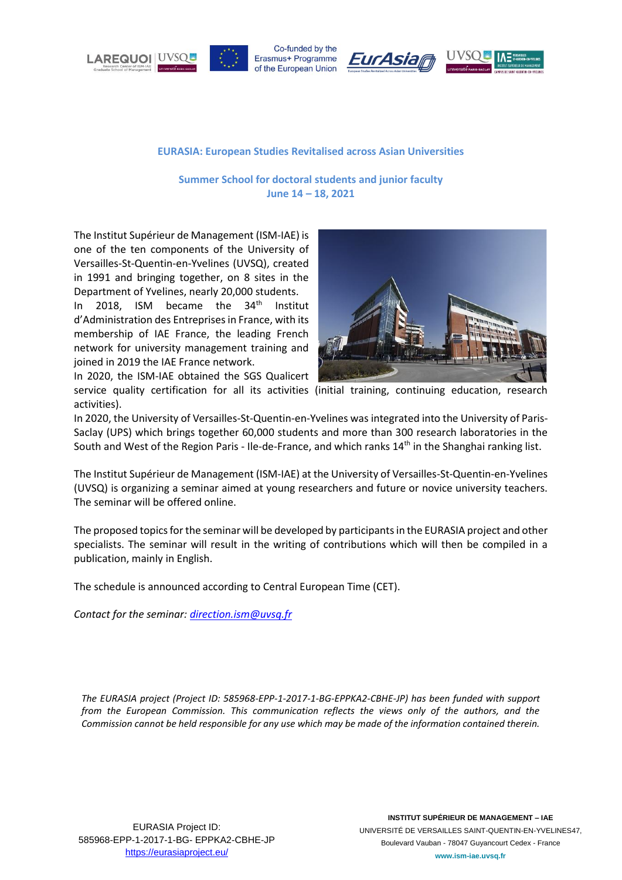





#### **EURASIA: European Studies Revitalised across Asian Universities**

**Summer School for doctoral students and junior faculty June 14 – 18, 2021**

The Institut Supérieur de Management (ISM-IAE) is one of the ten components of the University of Versailles-St-Quentin-en-Yvelines (UVSQ), created in 1991 and bringing together, on 8 sites in the Department of Yvelines, nearly 20,000 students.

In 2018. ISM became the  $34<sup>th</sup>$  Institut d'Administration des Entreprises in France, with its membership of IAE France, the leading French network for university management training and joined in 2019 the IAE France network.



In 2020, the ISM-IAE obtained the SGS Qualicert service quality certification for all its activities (initial training, continuing education, research activities).

In 2020, the University of Versailles-St-Quentin-en-Yvelines was integrated into the University of Paris-Saclay (UPS) which brings together 60,000 students and more than 300 research laboratories in the South and West of the Region Paris - Ile-de-France, and which ranks 14<sup>th</sup> in the Shanghai ranking list.

The Institut Supérieur de Management (ISM-IAE) at the University of Versailles-St-Quentin-en-Yvelines (UVSQ) is organizing a seminar aimed at young researchers and future or novice university teachers. The seminar will be offered online.

The proposed topics for the seminar will be developed by participants in the EURASIA project and other specialists. The seminar will result in the writing of contributions which will then be compiled in a publication, mainly in English.

The schedule is announced according to Central European Time (CET).

*Contact for the seminar[: direction.ism@uvsq.fr](mailto:direction.ism@uvsq.fr)*

*The EURASIA project (Project ID: 585968-EPP-1-2017-1-BG-EPPKA2-CBHE-JP) has been funded with support from the European Commission. This communication reflects the views only of the authors, and the Commission cannot be held responsible for any use which may be made of the information contained therein.*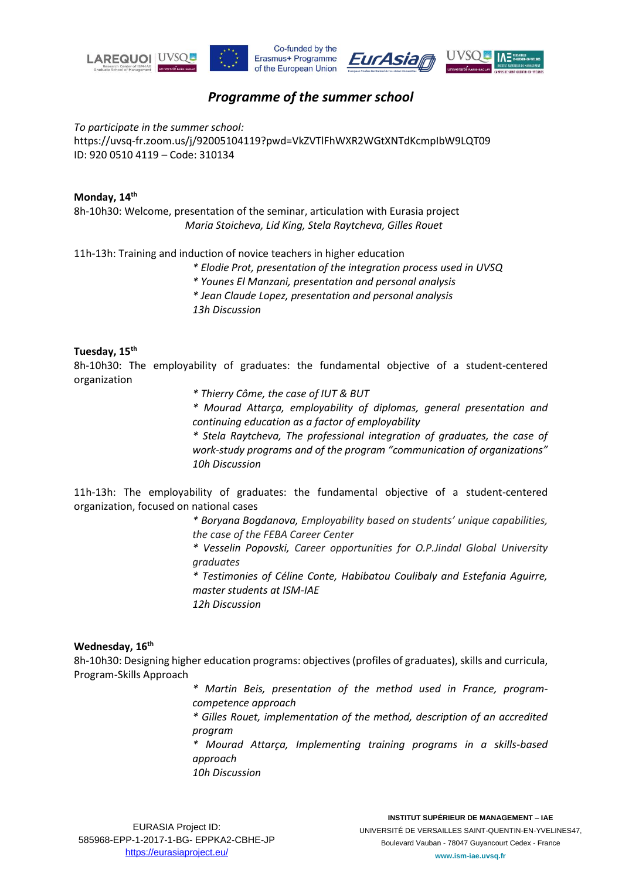

# *Programme of the summer school*

*To participate in the summer school:*  https://uvsq-fr.zoom.us/j/92005104119?pwd=VkZVTlFhWXR2WGtXNTdKcmpIbW9LQT09 ID: 920 0510 4119 – Code: 310134

#### **Monday, 14th**

8h-10h30: Welcome, presentation of the seminar, articulation with Eurasia project *Maria Stoicheva, Lid King, Stela Raytcheva, Gilles Rouet*

11h-13h: Training and induction of novice teachers in higher education

- *\* Elodie Prot, presentation of the integration process used in UVSQ*
- *\* Younes El Manzani, presentation and personal analysis*
- *\* Jean Claude Lopez, presentation and personal analysis*
- *13h Discussion*

## **Tuesday, 15th**

8h-10h30: The employability of graduates: the fundamental objective of a student-centered organization

*\* Thierry Côme, the case of IUT & BUT*

*\* Mourad Attarça, employability of diplomas, general presentation and continuing education as a factor of employability*

*\* Stela Raytcheva, The professional integration of graduates, the case of work-study programs and of the program "communication of organizations" 10h Discussion*

11h-13h: The employability of graduates: the fundamental objective of a student-centered organization, focused on national cases

> *\* Boryana Bogdanova, Employability based on students' unique capabilities, the case of the FEBA Career Center*

> *\* Vesselin Popovski, Career opportunities for O.P.Jindal Global University graduates*

> *\* Testimonies of Céline Conte, Habibatou Coulibaly and Estefania Aguirre, master students at ISM-IAE*

*12h Discussion*

#### **Wednesday, 16th**

8h-10h30: Designing higher education programs: objectives (profiles of graduates), skills and curricula, Program-Skills Approach

- *\* Martin Beis, presentation of the method used in France, programcompetence approach*
- *\* Gilles Rouet, implementation of the method, description of an accredited program*
- *\* Mourad Attarça, Implementing training programs in a skills-based approach*

*10h Discussion*